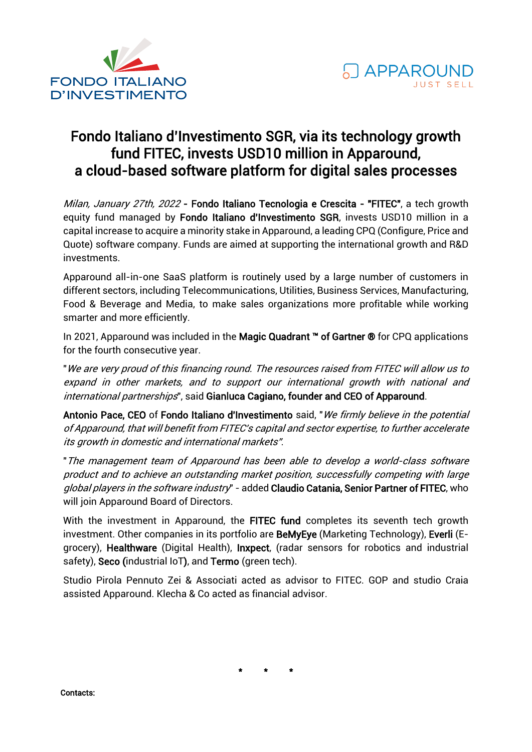



## Fondo Italiano d'Investimento SGR, via its technology growth fund FITEC, invests USD10 million in Apparound, a cloud-based software platform for digital sales processes

Milan, January 27th, 2022 - Fondo Italiano Tecnologia e Crescita - "FITEC", a tech growth equity fund managed by Fondo Italiano d'Investimento SGR, invests USD10 million in a capital increase to acquire a minority stake in Apparound, a leading CPQ (Configure, Price and Quote) software company. Funds are aimed at supporting the international growth and R&D investments.

Apparound all-in-one SaaS platform is routinely used by a large number of customers in different sectors, including Telecommunications, Utilities, Business Services, Manufacturing, Food & Beverage and Media, to make sales organizations more profitable while working smarter and more efficiently.

In 2021, Apparound was included in the Magic Quadrant ™ of Gartner ® for CPQ applications for the fourth consecutive year.

"We are very proud of this financing round. The resources raised from FITEC will allow us to expand in other markets, and to support our international growth with national and international partnerships", said Gianluca Cagiano, founder and CEO of Apparound.

Antonio Pace, CEO of Fondo Italiano d'Investimento said, "We firmly believe in the potential of Apparound, that will benefit from FITEC's capital and sector expertise, to further accelerate its growth in domestic and international markets".

"The management team of Apparound has been able to develop a world-class software product and to achieve an outstanding market position, successfully competing with large global players in the software industry" - added Claudio Catania, Senior Partner of FITEC, who will join Apparound Board of Directors.

With the investment in Apparound, the FITEC fund completes its seventh tech growth investment. Other companies in its portfolio are BeMyEye (Marketing Technology), Everli (Egrocery), Healthware (Digital Health), Inxpect, (radar sensors for robotics and industrial safety), Seco (industrial IoT), and Termo (green tech).

Studio Pirola Pennuto Zei & Associati acted as advisor to FITEC. GOP and studio Craia assisted Apparound. Klecha & Co acted as financial advisor.

\* \* \*